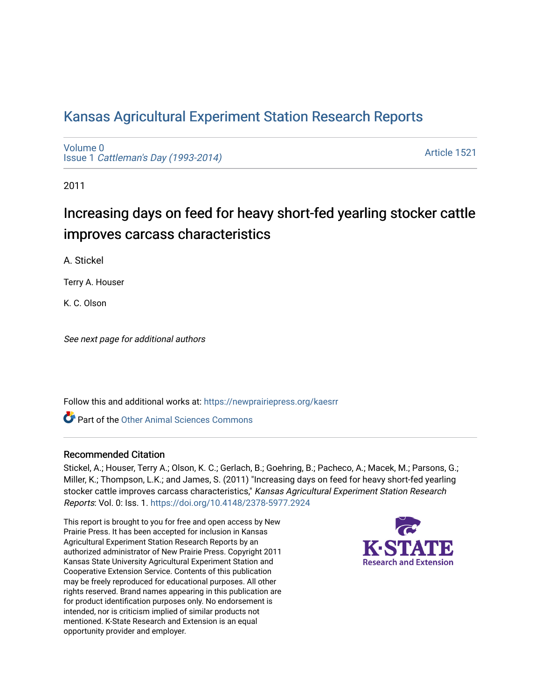# [Kansas Agricultural Experiment Station Research Reports](https://newprairiepress.org/kaesrr)

[Volume 0](https://newprairiepress.org/kaesrr/vol0) Issue 1 [Cattleman's Day \(1993-2014\)](https://newprairiepress.org/kaesrr/vol0/iss1) 

[Article 1521](https://newprairiepress.org/kaesrr/vol0/iss1/1521) 

2011

# Increasing days on feed for heavy short-fed yearling stocker cattle improves carcass characteristics

A. Stickel

Terry A. Houser

K. C. Olson

See next page for additional authors

Follow this and additional works at: [https://newprairiepress.org/kaesrr](https://newprairiepress.org/kaesrr?utm_source=newprairiepress.org%2Fkaesrr%2Fvol0%2Fiss1%2F1521&utm_medium=PDF&utm_campaign=PDFCoverPages) 

Part of the [Other Animal Sciences Commons](http://network.bepress.com/hgg/discipline/82?utm_source=newprairiepress.org%2Fkaesrr%2Fvol0%2Fiss1%2F1521&utm_medium=PDF&utm_campaign=PDFCoverPages)

### Recommended Citation

Stickel, A.; Houser, Terry A.; Olson, K. C.; Gerlach, B.; Goehring, B.; Pacheco, A.; Macek, M.; Parsons, G.; Miller, K.; Thompson, L.K.; and James, S. (2011) "Increasing days on feed for heavy short-fed yearling stocker cattle improves carcass characteristics," Kansas Agricultural Experiment Station Research Reports: Vol. 0: Iss. 1.<https://doi.org/10.4148/2378-5977.2924>

This report is brought to you for free and open access by New Prairie Press. It has been accepted for inclusion in Kansas Agricultural Experiment Station Research Reports by an authorized administrator of New Prairie Press. Copyright 2011 Kansas State University Agricultural Experiment Station and Cooperative Extension Service. Contents of this publication may be freely reproduced for educational purposes. All other rights reserved. Brand names appearing in this publication are for product identification purposes only. No endorsement is intended, nor is criticism implied of similar products not mentioned. K-State Research and Extension is an equal opportunity provider and employer.

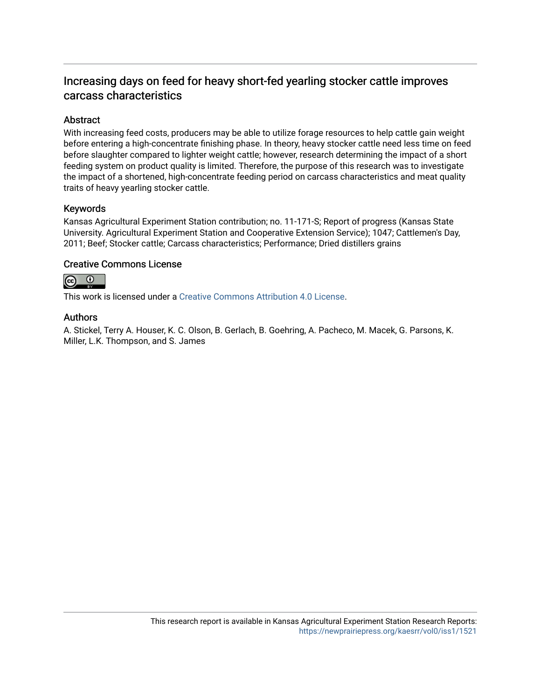### Increasing days on feed for heavy short-fed yearling stocker cattle improves carcass characteristics

### Abstract

With increasing feed costs, producers may be able to utilize forage resources to help cattle gain weight before entering a high-concentrate finishing phase. In theory, heavy stocker cattle need less time on feed before slaughter compared to lighter weight cattle; however, research determining the impact of a short feeding system on product quality is limited. Therefore, the purpose of this research was to investigate the impact of a shortened, high-concentrate feeding period on carcass characteristics and meat quality traits of heavy yearling stocker cattle.

### Keywords

Kansas Agricultural Experiment Station contribution; no. 11-171-S; Report of progress (Kansas State University. Agricultural Experiment Station and Cooperative Extension Service); 1047; Cattlemen's Day, 2011; Beef; Stocker cattle; Carcass characteristics; Performance; Dried distillers grains

#### Creative Commons License



This work is licensed under a [Creative Commons Attribution 4.0 License](https://creativecommons.org/licenses/by/4.0/).

### Authors

A. Stickel, Terry A. Houser, K. C. Olson, B. Gerlach, B. Goehring, A. Pacheco, M. Macek, G. Parsons, K. Miller, L.K. Thompson, and S. James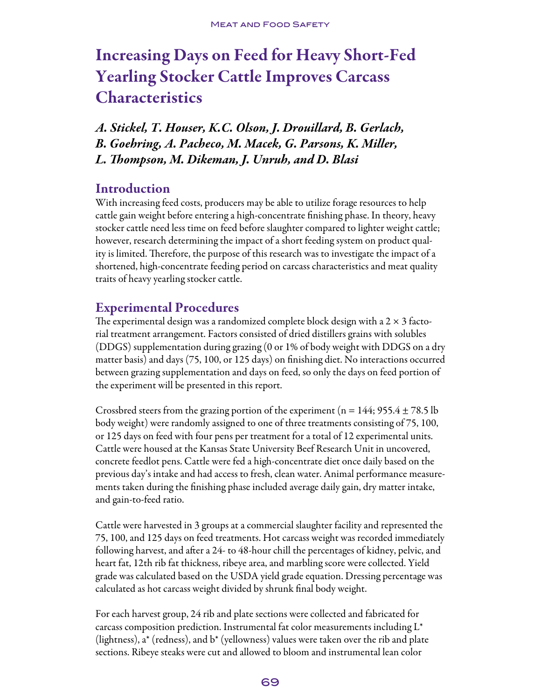# Increasing Days on Feed for Heavy Short-Fed Yearling Stocker Cattle Improves Carcass **Characteristics**

*A. Stickel, T. Houser, K.C. Olson, J. Drouillard, B. Gerlach, B. Goehring, A. Pacheco, M. Macek, G. Parsons, K. Miller, L. Thompson, M. Dikeman, J. Unruh, and D. Blasi*

## **Introduction**

With increasing feed costs, producers may be able to utilize forage resources to help cattle gain weight before entering a high-concentrate finishing phase. In theory, heavy stocker cattle need less time on feed before slaughter compared to lighter weight cattle; however, research determining the impact of a short feeding system on product quality is limited. Therefore, the purpose of this research was to investigate the impact of a shortened, high-concentrate feeding period on carcass characteristics and meat quality traits of heavy yearling stocker cattle.

## Experimental Procedures

The experimental design was a randomized complete block design with a 2  $\times$  3 factorial treatment arrangement. Factors consisted of dried distillers grains with solubles (DDGS) supplementation during grazing (0 or 1% of body weight with DDGS on a dry matter basis) and days (75, 100, or 125 days) on finishing diet. No interactions occurred between grazing supplementation and days on feed, so only the days on feed portion of the experiment will be presented in this report.

Crossbred steers from the grazing portion of the experiment ( $n = 144$ ; 955.4  $\pm$  78.5 lb body weight) were randomly assigned to one of three treatments consisting of 75, 100, or 125 days on feed with four pens per treatment for a total of 12 experimental units. Cattle were housed at the Kansas State University Beef Research Unit in uncovered, concrete feedlot pens. Cattle were fed a high-concentrate diet once daily based on the previous day's intake and had access to fresh, clean water. Animal performance measurements taken during the finishing phase included average daily gain, dry matter intake, and gain-to-feed ratio.

Cattle were harvested in 3 groups at a commercial slaughter facility and represented the 75, 100, and 125 days on feed treatments. Hot carcass weight was recorded immediately following harvest, and after a 24- to 48-hour chill the percentages of kidney, pelvic, and heart fat, 12th rib fat thickness, ribeye area, and marbling score were collected. Yield grade was calculated based on the USDA yield grade equation. Dressing percentage was calculated as hot carcass weight divided by shrunk final body weight.

For each harvest group, 24 rib and plate sections were collected and fabricated for carcass composition prediction. Instrumental fat color measurements including  $L^*$ (lightness), a\* (redness), and b\* (yellowness) values were taken over the rib and plate sections. Ribeye steaks were cut and allowed to bloom and instrumental lean color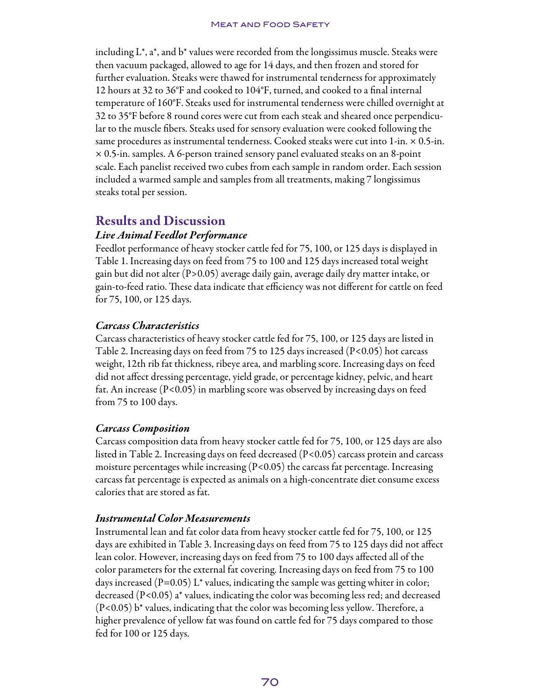#### **MEAT AND FOOD SAFETY**

including L\*, a\*, and b\* values were recorded from the longissimus muscle. Steaks were then vacuum packaged, allowed to age for 14 days, and then frozen and stored for further evaluation. Steaks were thawed for instrumental tenderness for approximately 12 hours at 32 to 36°F and cooked to 104°F, turned, and cooked to a final internal temperature of 160°F. Steaks used for instrumental tenderness were chilled overnight at 32 to 35°F before 8 round cores were cut from each steak and sheared once perpendicular to the muscle fibers. Steaks used for sensory evaluation were cooked following the same procedures as instrumental tenderness. Cooked steaks were cut into 1-in. × 0.5-in. × 0.5-in. samples. A 6-person trained sensory panel evaluated steaks on an 8-point scale. Each panelist received two cubes from each sample in random order. Each session included a warmed sample and samples from all treatments, making 7 longissimus steaks total per session.

### Results and Discussion

### *Live Animal Feedlot Performance*

Feedlot performance of heavy stocker cattle fed for 75, 100, or 125 days is displayed in Table 1. Increasing days on feed from 75 to 100 and 125 days increased total weight gain but did not alter (P>0.05) average daily gain, average daily dry matter intake, or gain-to-feed ratio. These data indicate that efficiency was not different for cattle on feed for 75, 100, or 125 days.

### *Carcass Characteristics*

Carcass characteristics of heavy stocker cattle fed for 75, 100, or 125 days are listed in Table 2. Increasing days on feed from 75 to 125 days increased (P<0.05) hot carcass weight, 12th rib fat thickness, ribeye area, and marbling score. Increasing days on feed did not affect dressing percentage, yield grade, or percentage kidney, pelvic, and heart fat. An increase (P<0.05) in marbling score was observed by increasing days on feed from 75 to 100 days.

### *Carcass Composition*

Carcass composition data from heavy stocker cattle fed for 75, 100, or 125 days are also listed in Table 2. Increasing days on feed decreased (P<0.05) carcass protein and carcass moisture percentages while increasing  $(P< 0.05)$  the carcass fat percentage. Increasing carcass fat percentage is expected as animals on a high-concentrate diet consume excess calories that are stored as fat.

### *Instrumental Color Measurements*

Instrumental lean and fat color data from heavy stocker cattle fed for 75, 100, or 125 days are exhibited in Table 3. Increasing days on feed from 75 to 125 days did not affect lean color. However, increasing days on feed from 75 to 100 days affected all of the color parameters for the external fat covering. Increasing days on feed from 75 to 100 days increased  $(P=0.05)$  L<sup>\*</sup> values, indicating the sample was getting whiter in color; decreased  $(P<0.05)$  a<sup>\*</sup> values, indicating the color was becoming less red; and decreased (P<0.05) b\* values, indicating that the color was becoming less yellow. Therefore, a higher prevalence of yellow fat was found on cattle fed for 75 days compared to those fed for 100 or 125 days.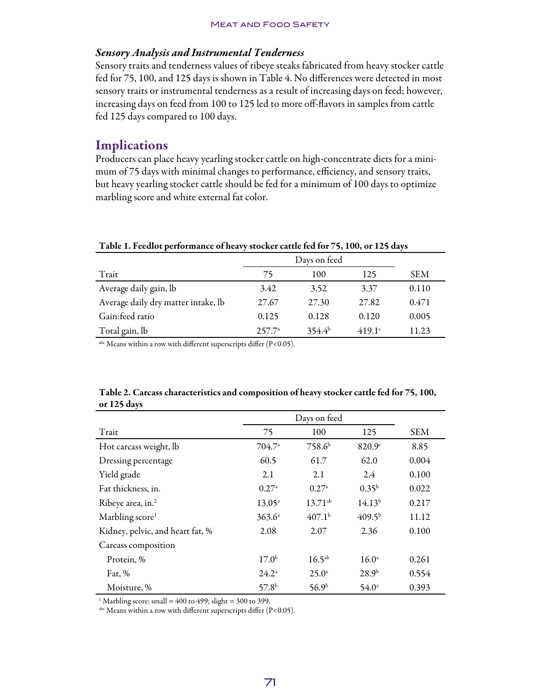### *Sensory Analysis and Instrumental Tenderness*

Sensory traits and tenderness values of ribeye steaks fabricated from heavy stocker cattle fed for 75, 100, and 125 days is shown in Table 4. No differences were detected in most sensory traits or instrumental tenderness as a result of increasing days on feed; however, increasing days on feed from 100 to 125 led to more off-flavors in samples from cattle fed 125 days compared to 100 days.

### **Implications**

Producers can place heavy yearling stocker cattle on high-concentrate diets for a minimum of 75 days with minimal changes to performance, efficiency, and sensory traits, but heavy yearling stocker cattle should be fed for a minimum of 100 days to optimize marbling score and white external fat color.

|                                     | Days on feed    |             |               |            |
|-------------------------------------|-----------------|-------------|---------------|------------|
| Trait                               | 75              | 100         | 125           | <b>SEM</b> |
| Average daily gain, lb              | 3.42            | 3.52        | 3.37          | 0.110      |
| Average daily dry matter intake, lb | 27.67           | 27.30       | 27.82         | 0.471      |
| Gain:feed ratio                     | 0.125           | 0.128       | 0.120         | 0.005      |
| Total gain, lb                      | $257.7^{\circ}$ | $354.4^{b}$ | $419.1^\circ$ | 11.23      |

Table 1. Feedlot performance of heavy stocker cattle fed for 75, 100, or 125 days

 $a<sup>abc</sup>$  Means within a row with different superscripts differ (P<0.05).

| $\mathbf{u}$ is the set of $\mathbf{u}$ |                   |                    |                    |            |
|-----------------------------------------|-------------------|--------------------|--------------------|------------|
|                                         |                   |                    |                    |            |
| Trait                                   | 75                | 100                | 125                | <b>SEM</b> |
| Hot carcass weight, lb                  | $704.7^{\circ}$   | 758.6 <sup>b</sup> | 820.9c             | 8.85       |
| Dressing percentage                     | 60.5              | 61.7               | 62.0               | 0.004      |
| Yield grade                             | 2.1               | 2.1                | 2.4                | 0.100      |
| Fat thickness, in.                      | 0.27a             | $0.27^{\rm a}$     | $0.35^{b}$         | 0.022      |
| Ribeye area, in. <sup>2</sup>           | $13.05^{\circ}$   | $13.71^{ab}$       | 14.13 <sup>b</sup> | 0.217      |
| Marbling score <sup>1</sup>             | 363.6a            | 407.1 <sup>b</sup> | 409.5 <sup>b</sup> | 11.12      |
| Kidney, pelvic, and heart fat, %        | 2.08              | 2.07               | 2.36               | 0.100      |
| Carcass composition                     |                   |                    |                    |            |
| Protein, %                              | 17.0 <sup>b</sup> | $16.5^{ab}$        | $16.0^{\circ}$     | 0.261      |
| Fat, $%$                                | $24.2^{\circ}$    | $25.0^{\circ}$     | 28.9 <sup>b</sup>  | 0.554      |
| Moisture, %                             | 57.8 <sup>b</sup> | 56.9 <sup>b</sup>  | $54.0^{\circ}$     | 0.393      |

Table 2. Carcass characteristics and composition of heavy stocker cattle fed for 75, 100, or 125 days

<sup>1</sup> Marbling score: small =  $400$  to  $499$ ; slight = 300 to 399.

 $a<sup>abc</sup>$  Means within a row with different superscripts differ (P<0.05).